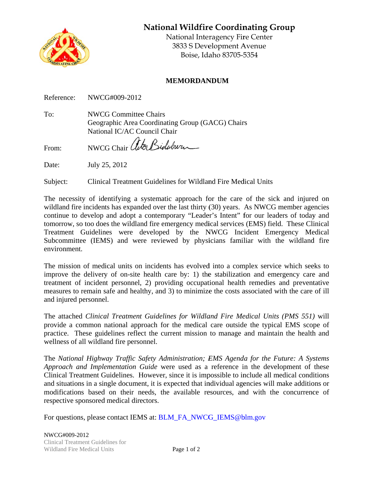**National Wildfire Coordinating Group** 



National Interagency Fire Center 3833 S Development Avenue Boise, Idaho 83705-5354

## **MEMORDANDUM**

Reference: NWCG#009-2012

To: **NWCG Committee Chairs** Geographic Area Coordinating Group (GACG) Chairs National IC/AC Council Chair

NWCG Chair ator Biduburn From:

Date: July 25, 2012

Clinical Treatment Guidelines for Wildland Fire Medical Units Subject:

The necessity of identifying a systematic approach for the care of the sick and injured on wildland fire incidents has expanded over the last thirty (30) years. As NWCG member agencies continue to develop and adopt a contemporary "Leader's Intent" for our leaders of today and tomorrow, so too does the wildland fire emergency medical services (EMS) field. These Clinical Treatment Guidelines were developed by the NWCG Incident Emergency Medical Subcommittee (IEMS) and were reviewed by physicians familiar with the wildland fire environment.

The mission of medical units on incidents has evolved into a complex service which seeks to improve the delivery of on-site health care by: 1) the stabilization and emergency care and treatment of incident personnel, 2) providing occupational health remedies and preventative measures to remain safe and healthy, and 3) to minimize the costs associated with the care of ill and injured personnel.

The attached Clinical Treatment Guidelines for Wildland Fire Medical Units (PMS 551) will provide a common national approach for the medical care outside the typical EMS scope of practice. These guidelines reflect the current mission to manage and maintain the health and wellness of all wildland fire personnel.

The National Highway Traffic Safety Administration; EMS Agenda for the Future: A Systems Approach and Implementation Guide were used as a reference in the development of these Clinical Treatment Guidelines. However, since it is impossible to include all medical conditions and situations in a single document, it is expected that individual agencies will make additions or modifications based on their needs, the available resources, and with the concurrence of respective sponsored medical directors.

For questions, please contact IEMS at: BLM\_FA\_NWCG\_IEMS@blm.gov